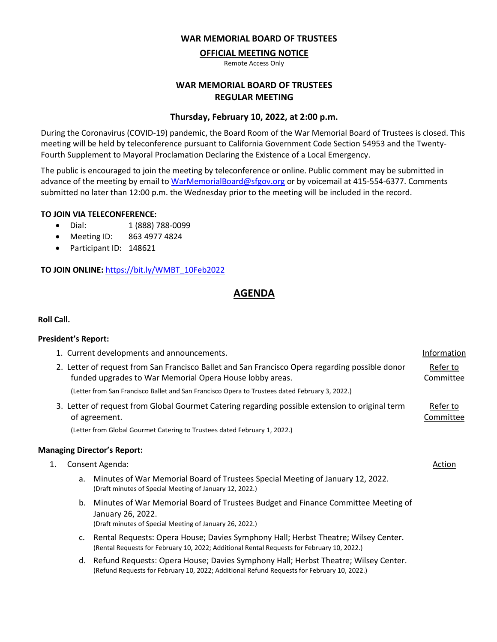#### **WAR MEMORIAL BOARD OF TRUSTEES**

### **OFFICIAL MEETING NOTICE**

Remote Access Only

## **WAR MEMORIAL BOARD OF TRUSTEES REGULAR MEETING**

#### **Thursday, February 10, 2022, at 2:00 p.m.**

During the Coronavirus (COVID-19) pandemic, the Board Room of the War Memorial Board of Trustees is closed. This meeting will be held by teleconference pursuant to California Government Code Section 54953 and the Twenty-Fourth Supplement to Mayoral Proclamation Declaring the Existence of a Local Emergency.

The public is encouraged to join the meeting by teleconference or online. Public comment may be submitted in advance of the meeting by email to [WarMemorialBoard@sfgov.org](mailto:WarMemorialBoard@sfgov.org) or by voicemail at 415-554-6377. Comments submitted no later than 12:00 p.m. the Wednesday prior to the meeting will be included in the record.

#### **TO JOIN VIA TELECONFERENCE:**

- Dial: 1 (888) 788-0099
- Meeting ID: 863 4977 4824
- Participant ID: 148621

**TO JOIN ONLINE:** [https://bit.ly/WMBT\\_10Feb2022](https://bit.ly/WMBT_10Feb2022)

# **AGENDA**

#### **Roll Call.**

#### **President's Report:**

|                                                                                                                                                             |                                                                                                                  | 1. Current developments and announcements.                                                                                                                                          | Information |  |
|-------------------------------------------------------------------------------------------------------------------------------------------------------------|------------------------------------------------------------------------------------------------------------------|-------------------------------------------------------------------------------------------------------------------------------------------------------------------------------------|-------------|--|
| 2. Letter of request from San Francisco Ballet and San Francisco Opera regarding possible donor<br>funded upgrades to War Memorial Opera House lobby areas. |                                                                                                                  |                                                                                                                                                                                     |             |  |
|                                                                                                                                                             |                                                                                                                  | (Letter from San Francisco Ballet and San Francisco Opera to Trustees dated February 3, 2022.)                                                                                      |             |  |
|                                                                                                                                                             | 3. Letter of request from Global Gourmet Catering regarding possible extension to original term<br>of agreement. |                                                                                                                                                                                     |             |  |
|                                                                                                                                                             | (Letter from Global Gourmet Catering to Trustees dated February 1, 2022.)                                        |                                                                                                                                                                                     |             |  |
|                                                                                                                                                             |                                                                                                                  | <b>Managing Director's Report:</b>                                                                                                                                                  |             |  |
| 1.                                                                                                                                                          | Consent Agenda:                                                                                                  |                                                                                                                                                                                     | Action      |  |
|                                                                                                                                                             | a.                                                                                                               | Minutes of War Memorial Board of Trustees Special Meeting of January 12, 2022.<br>(Draft minutes of Special Meeting of January 12, 2022.)                                           |             |  |
|                                                                                                                                                             |                                                                                                                  | b. Minutes of War Memorial Board of Trustees Budget and Finance Committee Meeting of<br>January 26, 2022.<br>(Draft minutes of Special Meeting of January 26, 2022.)                |             |  |
|                                                                                                                                                             |                                                                                                                  | c. Rental Requests: Opera House; Davies Symphony Hall; Herbst Theatre; Wilsey Center.<br>(Rental Requests for February 10, 2022; Additional Rental Requests for February 10, 2022.) |             |  |
|                                                                                                                                                             | d.                                                                                                               | Refund Requests: Opera House; Davies Symphony Hall; Herbst Theatre; Wilsey Center.<br>(Refund Requests for February 10, 2022; Additional Refund Requests for February 10, 2022.)    |             |  |
|                                                                                                                                                             |                                                                                                                  |                                                                                                                                                                                     |             |  |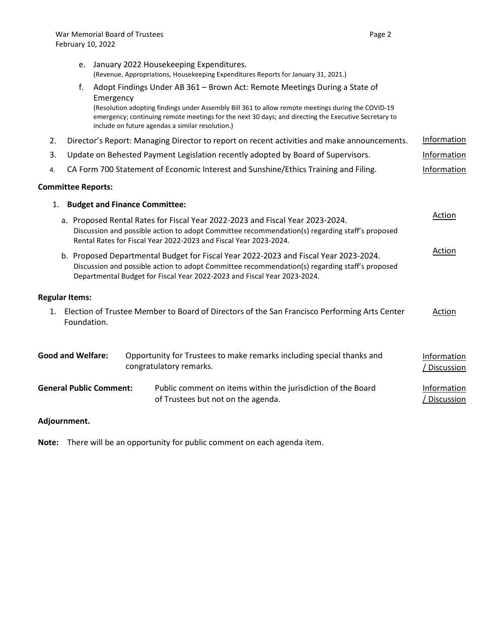|                                                                                                                                                                                                                                                                    |                                                                                                                                                                                                                                                      | e. January 2022 Housekeeping Expenditures.                                                                                                                                                                                                                     |                           |  |  |  |
|--------------------------------------------------------------------------------------------------------------------------------------------------------------------------------------------------------------------------------------------------------------------|------------------------------------------------------------------------------------------------------------------------------------------------------------------------------------------------------------------------------------------------------|----------------------------------------------------------------------------------------------------------------------------------------------------------------------------------------------------------------------------------------------------------------|---------------------------|--|--|--|
|                                                                                                                                                                                                                                                                    |                                                                                                                                                                                                                                                      | (Revenue, Appropriations, Housekeeping Expenditures Reports for January 31, 2021.)                                                                                                                                                                             |                           |  |  |  |
|                                                                                                                                                                                                                                                                    | f.                                                                                                                                                                                                                                                   | Adopt Findings Under AB 361 - Brown Act: Remote Meetings During a State of<br>Emergency                                                                                                                                                                        |                           |  |  |  |
|                                                                                                                                                                                                                                                                    |                                                                                                                                                                                                                                                      | (Resolution adopting findings under Assembly Bill 361 to allow remote meetings during the COVID-19<br>emergency; continuing remote meetings for the next 30 days; and directing the Executive Secretary to<br>include on future agendas a similar resolution.) |                           |  |  |  |
| 2.                                                                                                                                                                                                                                                                 |                                                                                                                                                                                                                                                      | Director's Report: Managing Director to report on recent activities and make announcements.                                                                                                                                                                    | Information               |  |  |  |
| 3.                                                                                                                                                                                                                                                                 | Update on Behested Payment Legislation recently adopted by Board of Supervisors.<br>Information                                                                                                                                                      |                                                                                                                                                                                                                                                                |                           |  |  |  |
| 4.                                                                                                                                                                                                                                                                 |                                                                                                                                                                                                                                                      | CA Form 700 Statement of Economic Interest and Sunshine/Ethics Training and Filing.                                                                                                                                                                            | Information               |  |  |  |
|                                                                                                                                                                                                                                                                    | <b>Committee Reports:</b>                                                                                                                                                                                                                            |                                                                                                                                                                                                                                                                |                           |  |  |  |
| 1.                                                                                                                                                                                                                                                                 |                                                                                                                                                                                                                                                      | <b>Budget and Finance Committee:</b>                                                                                                                                                                                                                           |                           |  |  |  |
|                                                                                                                                                                                                                                                                    | a. Proposed Rental Rates for Fiscal Year 2022-2023 and Fiscal Year 2023-2024.<br>Discussion and possible action to adopt Committee recommendation(s) regarding staff's proposed<br>Rental Rates for Fiscal Year 2022-2023 and Fiscal Year 2023-2024. |                                                                                                                                                                                                                                                                |                           |  |  |  |
| b. Proposed Departmental Budget for Fiscal Year 2022-2023 and Fiscal Year 2023-2024.<br>Discussion and possible action to adopt Committee recommendation(s) regarding staff's proposed<br>Departmental Budget for Fiscal Year 2022-2023 and Fiscal Year 2023-2024. |                                                                                                                                                                                                                                                      |                                                                                                                                                                                                                                                                |                           |  |  |  |
|                                                                                                                                                                                                                                                                    | <b>Regular Items:</b>                                                                                                                                                                                                                                |                                                                                                                                                                                                                                                                |                           |  |  |  |
|                                                                                                                                                                                                                                                                    | 1. Election of Trustee Member to Board of Directors of the San Francisco Performing Arts Center<br>Action                                                                                                                                            |                                                                                                                                                                                                                                                                |                           |  |  |  |
|                                                                                                                                                                                                                                                                    | Foundation.                                                                                                                                                                                                                                          |                                                                                                                                                                                                                                                                |                           |  |  |  |
|                                                                                                                                                                                                                                                                    | <b>Good and Welfare:</b>                                                                                                                                                                                                                             | Opportunity for Trustees to make remarks including special thanks and<br>congratulatory remarks.                                                                                                                                                               | Information<br>Discussion |  |  |  |

| <b>General Public Comment:</b> | Public comment on items within the jurisdiction of the Board | Information  |
|--------------------------------|--------------------------------------------------------------|--------------|
|                                | of Trustees but not on the agenda.                           | / Discussion |

# **Adjournment.**

**Note:** There will be an opportunity for public comment on each agenda item.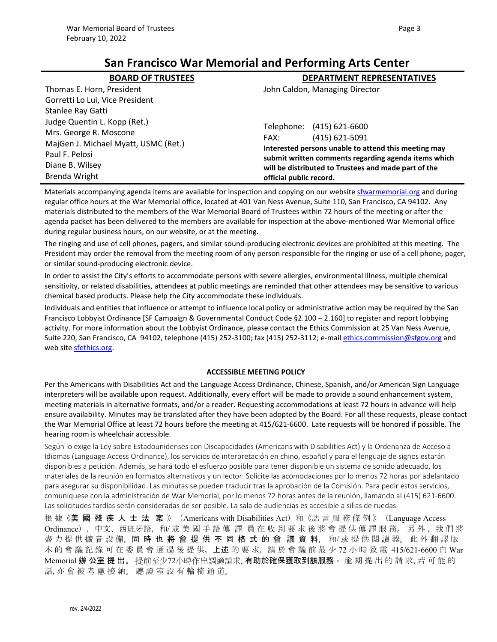# **San Francisco War Memorial and Performing Arts Center**

| <b>BOARD OF TRUSTEES</b>             | <b>DEPARTMENT REPRESENTATIVES</b>                                                                                                                                                               |  |  |
|--------------------------------------|-------------------------------------------------------------------------------------------------------------------------------------------------------------------------------------------------|--|--|
| Thomas E. Horn, President            | John Caldon, Managing Director                                                                                                                                                                  |  |  |
| Gorretti Lo Lui, Vice President      |                                                                                                                                                                                                 |  |  |
| Stanlee Ray Gatti                    |                                                                                                                                                                                                 |  |  |
| Judge Quentin L. Kopp (Ret.)         | Telephone: (415) 621-6600                                                                                                                                                                       |  |  |
| Mrs. George R. Moscone               | $(415) 621 - 5091$<br>FAX:                                                                                                                                                                      |  |  |
| MajGen J. Michael Myatt, USMC (Ret.) | Interested persons unable to attend this meeting may<br>submit written comments regarding agenda items which<br>will be distributed to Trustees and made part of the<br>official public record. |  |  |
| Paul F. Pelosi                       |                                                                                                                                                                                                 |  |  |
| Diane B. Wilsey                      |                                                                                                                                                                                                 |  |  |
| <b>Brenda Wright</b>                 |                                                                                                                                                                                                 |  |  |

Materials accompanying agenda items are available for inspection and copying on our website [sfwarmemorial.org](https://sfwarmemorial.org/) and during regular office hours at the War Memorial office, located at 401 Van Ness Avenue, Suite 110, San Francisco, CA 94102. Any materials distributed to the members of the War Memorial Board of Trustees within 72 hours of the meeting or after the agenda packet has been delivered to the members are available for inspection at the above-mentioned War Memorial office during regular business hours, on our website, or at the meeting.

The ringing and use of cell phones, pagers, and similar sound-producing electronic devices are prohibited at this meeting. The President may order the removal from the meeting room of any person responsible for the ringing or use of a cell phone, pager, or similar sound-producing electronic device.

In order to assist the City's efforts to accommodate persons with severe allergies, environmental illness, multiple chemical sensitivity, or related disabilities, attendees at public meetings are reminded that other attendees may be sensitive to various chemical based products. Please help the City accommodate these individuals.

Individuals and entities that influence or attempt to influence local policy or administrative action may be required by the San Francisco Lobbyist Ordinance [SF Campaign & Governmental Conduct Code §2.100 – 2.160] to register and report lobbying activity. For more information about the Lobbyist Ordinance, please contact the Ethics Commission at 25 Van Ness Avenue, Suite 220, San Francisco, CA 94102, telephone (415) 252-3100; fax (415) 252-3112; e-mail [ethics.commission@sfgov.org](mailto:ethics.commission@sfgov.org) and web site [sfethics.org.](https://sfethics.org/)

#### **ACCESSIBLE MEETING POLICY**

Per the Americans with Disabilities Act and the Language Access Ordinance, Chinese, Spanish, and/or American Sign Language interpreters will be available upon request. Additionally, every effort will be made to provide a sound enhancement system, meeting materials in alternative formats, and/or a reader. Requesting accommodations at least 72 hours in advance will help ensure availability. Minutes may be translated after they have been adopted by the Board. For all these requests, please contact the War Memorial Office at least 72 hours before the meeting at 415/621-6600. Late requests will be honored if possible. The hearing room is wheelchair accessible.

Según lo exige la Ley sobre Estadounidenses con Discapacidades (Americans with Disabilities Act) y la Ordenanza de Acceso a Idiomas (Language Access Ordinance), los servicios de interpretación en chino, español y para el lenguaje de signos estarán disponibles a petición. Además, se hará todo el esfuerzo posible para tener disponible un sistema de sonido adecuado, los materiales de la reunión en formatos alternativos y un lector. Solicite las acomodaciones por lo menos 72 horas por adelantado para asegurar su disponibilidad. Las minutas se pueden traducir tras la aprobación de la Comisión. Para pedir estos servicios, comuníquese con la administración de War Memorial, por lo menos 72 horas antes de la reunión, llamando al (415) 621-6600. Las solicitudes tardías serán consideradas de ser posible. La sala de audiencias es accesible a sillas de ruedas.

根 據《美 國 殘 疾 人 士 法 案 》(Americans with Disabilities Act)和《語 言 服 務 條 例 》(Language Access Ordinance),中文、西班牙語,和/ 或 美 國 手 語 傳 譯 員 在 收 到 要 求 後 將 會 提 供 傳 譯 服 務。 另 外 , 我 們 將 盡 力 提 供 擴 音 設 備,同 時 也 將 會 提 供 不 同 格 式 的 會 議 資 料,和/ 或 提 供 閱 讀 器。 此 外 翻 譯 版 本 的 會 議 記 錄 可 在 委 員 會 通 過 後 提 供。**上述** 的 要 求,請 於 會 議 前 最 少 72 小 時 致 電 415/621-6600 向 War Memorial 辦 公室 提 出。 提前至少72小時作出調適請求, **有助於確保獲取到該服務**。 逾 期 提 出 的 請 求, 若 可 能 的 話, 亦 會 被 考 慮 接 納。 聽 證 室 設 有 輪 椅 通 道。